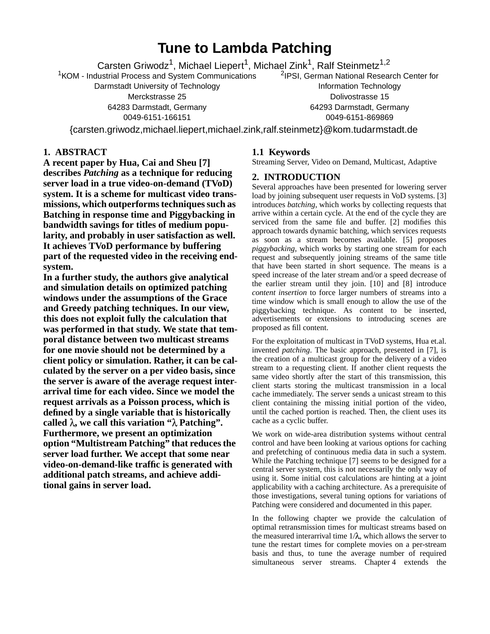# **Tune to Lambda Patching**

Carsten Griwodz<sup>1</sup>, Michael Liepert<sup>1</sup>, Michael Zink<sup>1</sup>, Ralf Steinmetz<sup>1,2</sup> 2 IPSI, German National Research Center for

<sup>1</sup> KOM - Industrial Process and System Communications

Darmstadt University of Technology Merckstrasse 25 64283 Darmstadt, Germany 0049-6151-166151

Information Technology Dolivostrasse 15 64293 Darmstadt, Germany 0049-6151-869869

{carsten.griwodz,michael.liepert,michael.zink,ralf.steinmetz}@kom.tudarmstadt.de

# **1. ABSTRACT**

**A recent paper by Hua, Cai and Sheu [7] describes** *Patching* **as a technique for reducing server load in a true video-on-demand (TVoD) system. It is a scheme for multicast video transmissions, which outperforms techniques such as Batching in response time and Piggybacking in bandwidth savings for titles of medium popularity, and probably in user satisfaction as well. It achieves TVoD performance by buffering part of the requested video in the receiving endsystem.**

**In a further study, the authors give analytical and simulation details on optimized patching windows under the assumptions of the Grace and Greedy patching techniques. In our view, this does not exploit fully the calculation that was performed in that study. We state that temporal distance between two multicast streams for one movie should not be determined by a client policy or simulation. Rather, it can be calculated by the server on a per video basis, since the server is aware of the average request interarrival time for each video. Since we model the request arrivals as a Poisson process, which is defined by a single variable that is historically** called  $\lambda$ , we call this variation " $\lambda$  Patching". **Furthermore, we present an optimization option "Multistream Patching" that reducesthe server load further. We accept that some near video-on-demand-like traffic is generated with additional patch streams, and achieve additional gains in server load.**

# **1.1 Keywords**

Streaming Server, Video on Demand, Multicast, Adaptive

# **2. INTRODUCTION**

Several approaches have been presented for lowering server load by joining subsequent user requests in VoD systems. [3] introduces *batching*, which works by collecting requests that arrive within a certain cycle. At the end of the cycle they are serviced from the same file and buffer. [2] modifies this approach towards dynamic batching, which services requests as soon as a stream becomes available. [5] proposes *piggybacking*, which works by starting one stream for each request and subsequently joining streams of the same title that have been started in short sequence. The means is a speed increase of the later stream and/or a speed decrease of the earlier stream until they join. [10] and [8] introduce *content insertion* to force larger numbers of streams into a time window which is small enough to allow the use of the piggybacking technique. As content to be inserted, advertisements or extensions to introducing scenes are proposed as fill content.

For the exploitation of multicast in TVoD systems, Hua et.al. invented *patching*. The basic approach, presented in [7], is the creation of a multicast group for the delivery of a video stream to a requesting client. If another client requests the same video shortly after the start of this transmission, this client starts storing the multicast transmission in a local cache immediately. The server sends a unicast stream to this client containing the missing initial portion of the video, until the cached portion is reached. Then, the client uses its cache as a cyclic buffer.

We work on wide-area distribution systems without central control and have been looking at various options for caching and prefetching of continuous media data in such a system. While the Patching technique [7] seems to be designed for a central server system, this is not necessarily the only way of using it. Some initial cost calculations are hinting at a joint applicability with a caching architecture. As a prerequisite of those investigations, several tuning options for variations of Patching were considered and documented in this paper.

In the following chapter we provide the calculation of optimal retransmission times for multicast streams based on the measured interarrival time  $1/\lambda$ , which allows the server to tune the restart times for complete movies on a per-stream basis and thus, to tune the average number of required simultaneous server streams. Chapter 4 extends the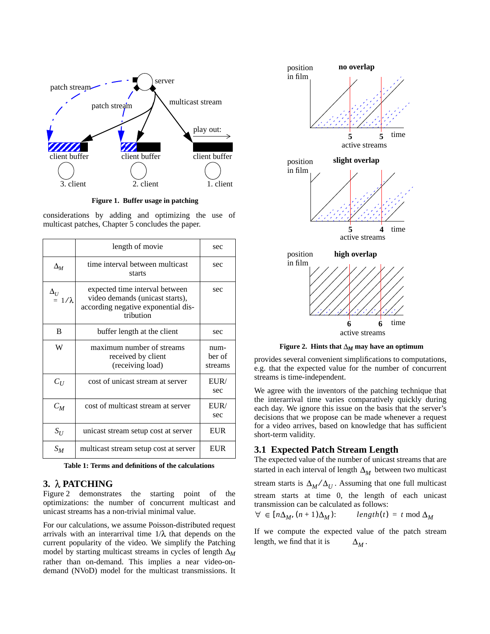

**Figure 1. Buffer usage in patching**

considerations by adding and optimizing the use of multicast patches, Chapter 5 concludes the paper.

|                             | length of movie                                                                                                       | sec                       |
|-----------------------------|-----------------------------------------------------------------------------------------------------------------------|---------------------------|
| $\Delta_M$                  | time interval between multicast<br>starts                                                                             | sec                       |
| $\Delta_U$<br>$= 1/\lambda$ | expected time interval between<br>video demands (unicast starts),<br>according negative exponential dis-<br>tribution | sec                       |
| B                           | buffer length at the client                                                                                           | sec                       |
| W                           | maximum number of streams<br>received by client<br>(receiving load)                                                   | num-<br>ber of<br>streams |
| $C_U$                       | cost of unicast stream at server                                                                                      | EUIR/<br>sec              |
| $C_M$                       | cost of multicast stream at server                                                                                    | EUR/<br>sec               |
| $S_U$                       | unicast stream setup cost at server                                                                                   | EUR                       |
| $S_M$                       | multicast stream setup cost at server                                                                                 | EUR                       |

**Table 1: Terms and definitions of the calculations**

## **3. PATCHING**

Figure 2 demonstrates the starting point of the optimizations: the number of concurrent multicast and unicast streams has a non-trivial minimal value.

For our calculations, we assume Poisson-distributed request arrivals with an interarrival time  $1/\lambda$  that depends on the current popularity of the video. We simplify the Patching model by starting multicast streams in cycles of length  $\Delta_M$ rather than on-demand. This implies a near video-ondemand (NVoD) model for the multicast transmissions. It



**Figure 2. Hints that**  $\Delta_M$  may have an optimum

provides several convenient simplifications to computations, e.g. that the expected value for the number of concurrent streams is time-independent.

We agree with the inventors of the patching technique that the interarrival time varies comparatively quickly during each day. We ignore this issue on the basis that the server's decisions that we propose can be made whenever a request for a video arrives, based on knowledge that has sufficient short-term validity.

# **3.1 Expected Patch Stream Length**

The expected value of the number of unicast streams that are started in each interval of length  $\Delta_M$  between two multicast stream starts is  $\Delta_M / \Delta_U$ . Assuming that one full multicast stream starts at time 0, the length of each unicast transmission can be calculated as follows: ⁄

$$
\forall \in [n\Delta_M, (n+1)\Delta_M): \qquad length(t) = t \mod \Delta_M
$$

If we compute the expected value of the patch stream length, we find that it is  $\Delta_M$  .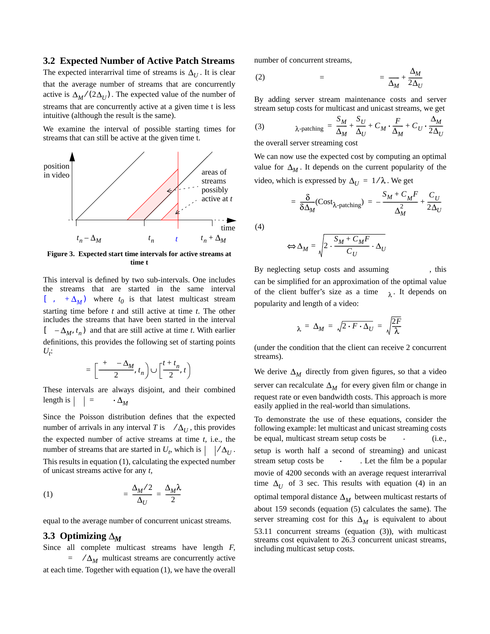#### **3.2 Expected Number of Active Patch Streams**

The expected interarrival time of streams is  $\Delta_U$ . It is clear that the average number of streams that are concurrently active is  $\Delta_M / (2 \Delta_U)$ . The expected value of the number of streams that are concurrently active at a given time t is less intuitive (although the result is the same).

We examine the interval of possible starting times for streams that can still be active at the given time t.



**Figure 3. Expected start time intervals for active streams at time t**

This interval is defined by two sub-intervals. One includes the streams that are started in the same interval  $\left[ , + \Delta_M \right)$  where  $t_0$  is that latest multicast stream starting time before *t* and still active at time *t*. The other includes the streams that have been started in the interval  $[-\Delta_M, t_n]$  and that are still active at time *t*. With earlier definitions, this provides the following set of starting points  $U_t$ :

$$
= \left[\frac{+ -\Delta_M}{2}, t_n\right] \cup \left[\frac{t + t_n}{2}, t\right)
$$

These intervals are always disjoint, and their combined  $length is \begin{vmatrix} \end{vmatrix} =$  $\cdot$   $\Delta_M$ 

Since the Poisson distribution defines that the expected number of arrivals in any interval *T* is  $\angle \Delta_U$ , this provides the expected number of active streams at time *t,* i.e., the number of streams that are started in  $U_t$ , which is  $| / \Delta_U$ . This results in equation (1), calculating the expected number of unicast streams active for any *t,* ⁄ ⁄

$$
(1) \qquad \qquad = \frac{\Delta_M/2}{\Delta_U} = \frac{\Delta_M \lambda}{2}
$$

equal to the average number of concurrent unicast streams.

#### **3.3** Optimizing  $\Delta_M$

Since all complete multicast streams have length *F*,  $\Delta_M$  multicast streams are concurrently active at each time. Together with equation (1), we have the overall number of concurrent streams,

$$
(2) \qquad \qquad = \qquad \qquad = \frac{\Delta_M}{\Delta_M} + \frac{\Delta_M}{2\Delta_U}
$$

By adding server stream maintenance costs and server stream setup costs for multicast and unicast streams, we get

(3) 
$$
\lambda_{\text{-patching}} = \frac{S_M}{\Delta_M} + \frac{S_U}{\Delta_U} + C_M \cdot \frac{F}{\Delta_M} + C_U \cdot \frac{\Delta_M}{2\Delta_U}
$$

the overall server streaming cost

We can now use the expected cost by computing an optimal value for  $\Delta_M$ . It depends on the current popularity of the video, which is expressed by  $\Delta_U = 1/\lambda$  . We get

$$
= \frac{\delta}{\delta \Delta_M} (\text{Cost}_{\lambda\text{-patching}}) = -\frac{S_M + C_M F}{\Delta_M^2} + \frac{C_U}{2\Delta_U}
$$

(4)

$$
\Rightarrow \Delta_M = \sqrt{2 \cdot \frac{S_M + C_M F}{C_U} \cdot \Delta_U}
$$

By neglecting setup costs and assuming , this can be simplified for an approximation of the optimal value of the client buffer's size as a time  $\lambda$ . It depends on popularity and length of a video:

$$
\lambda = \Delta_M = \sqrt{2 \cdot F \cdot \Delta_U} = \sqrt{\frac{2F}{\lambda}}
$$

(under the condition that the client can receive 2 concurrent streams).

We derive  $\Delta_M$  directly from given figures, so that a video server can recalculate  $\Delta_M$  for every given film or change in request rate or even bandwidth costs. This approach is more easily applied in the real-world than simulations.

To demonstrate the use of these equations, consider the following example: let multicast and unicast streaming costs be equal, multicast stream setup costs be (i.e., setup is worth half a second of streaming) and unicast stream setup costs be . Let the film be a popular movie of 4200 seconds with an average request interarrival time  $\Delta_U$  of 3 sec. This results with equation (4) in an optimal temporal distance  $\Delta_M^{}$  between multicast restarts of about 159 seconds (equation (5) calculates the same). The server streaming cost for this  $\Delta_M$  is equivalent to about 53.11 concurrent streams (equation (3)), with multicast streams cost equivalent to 26.3 concurrent unicast streams, including multicast setup costs.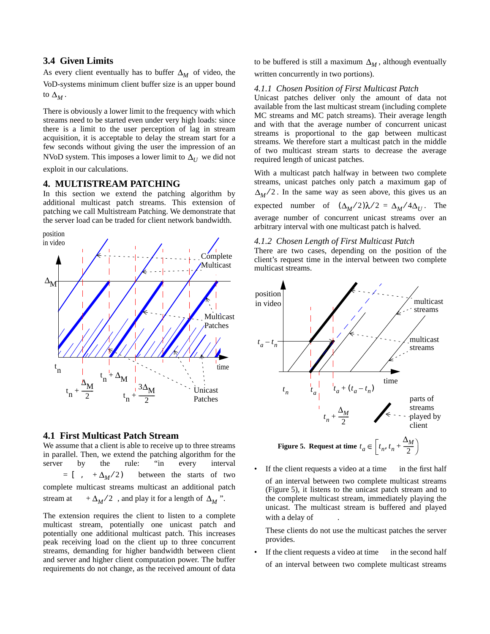## **3.4 Given Limits**

As every client eventually has to buffer  $\Delta_M$  of video, the VoD-systems minimum client buffer size is an upper bound to  $\Delta_M$ .

There is obviously a lower limit to the frequency with which streams need to be started even under very high loads: since there is a limit to the user perception of lag in stream acquisition, it is acceptable to delay the stream start for a few seconds without giving the user the impression of an NVoD system. This imposes a lower limit to  $\Delta_U^{\vphantom{\dagger}}$  we did not exploit in our calculations.

#### **4. MULTISTREAM PATCHING**

In this section we extend the patching algorithm by additional multicast patch streams. This extension of patching we call Multistream Patching. We demonstrate that the server load can be traded for client network bandwidth.





#### **4.1 First Multicast Patch Stream**

We assume that a client is able to receive up to three streams in parallel. Then, we extend the patching algorithm for the server by the rule: "in every interval between the starts of two complete multicast streams multicast an additional patch stream at  $+\Delta_M/2$ , and play it for a length of  $\Delta_M$ ".  $= \left[ \quad , \quad + \Delta_M / 2 \right)$ 

The extension requires the client to listen to a complete multicast stream, potentially one unicast patch and potentially one additional multicast patch. This increases peak receiving load on the client up to three concurrent streams, demanding for higher bandwidth between client and server and higher client computation power. The buffer requirements do not change, as the received amount of data

to be buffered is still a maximum  $\Delta_M$ , although eventually written concurrently in two portions).

#### *4.1.1 Chosen Position of First Multicast Patch*

Unicast patches deliver only the amount of data not available from the last multicast stream (including complete MC streams and MC patch streams). Their average length and with that the average number of concurrent unicast streams is proportional to the gap between multicast streams. We therefore start a multicast patch in the middle of two multicast stream starts to decrease the average required length of unicast patches.

With a multicast patch halfway in between two complete streams, unicast patches only patch a maximum gap of  $M^{2}$ . In the same way as seen above, this gives us an expected number of  $(\Delta_M/2)\lambda/2 = \Delta_M/4\Delta_U$ . The average number of concurrent unicast streams over an arbitrary interval with one multicast patch is halved.

#### *4.1.2 Chosen Length of First Multicast Patch*

There are two cases, depending on the position of the client's request time in the interval between two complete multicast streams.



If the client requests a video at a time in the first half of an interval between two complete multicast streams (Figure 5), it listens to the unicast patch stream and to the complete multicast stream, immediately playing the unicast. The multicast stream is buffered and played with a delay of

These clients do not use the multicast patches the server provides.

If the client requests a video at time in the second half of an interval between two complete multicast streams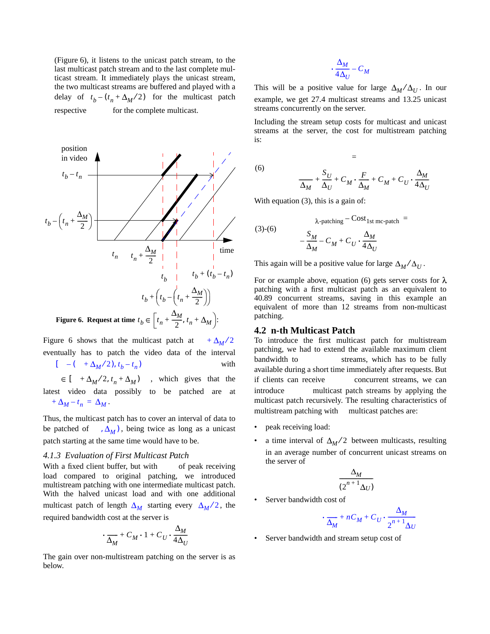(Figure 6), it listens to the unicast patch stream, to the last multicast patch stream and to the last complete multicast stream. It immediately plays the unicast stream, the two multicast streams are buffered and played with a delay of  $t_b - (t_n + \Delta_M/2)$  for the multicast patch respective for the complete multicast.



Figure 6 shows that the multicast patch at eventually has to patch the video data of the interval with  $\left[ \quad + \Delta_M / 2, t_n + \Delta_M \right]$ , which gives that the  $+\Delta_M/2$  $[-(-t)^2 + \Delta_M/2, t_b - t_n]$ 

latest video data possibly to be patched are at  $A_M - t_n = \Delta_M$ .

Thus, the multicast patch has to cover an interval of data to be patched of  $, \Delta_M$ ), being twice as long as a unicast patch starting at the same time would have to be.

#### *4.1.3 Evaluation of First Multicast Patch*

With a fixed client buffer, but with of peak receiving load compared to original patching, we introduced multistream patching with one intermediate multicast patch. With the halved unicast load and with one additional multicast patch of length  $\Delta_M$  starting every  $\Delta_M/2$ , the required bandwidth cost at the server is

$$
\cdot \frac{\Delta_M}{\Delta_M} + C_M \cdot 1 + C_U \cdot \frac{\Delta_M}{4\Delta_U}
$$

The gain over non-multistream patching on the server is as below.

$$
\cdot \frac{\Delta_M}{4\Delta_U} - C_M
$$

This will be a positive value for large  $\Delta_M / \Delta_U$ . In our example, we get 27.4 multicast streams and 13.25 unicast streams concurrently on the server. ⁄

Including the stream setup costs for multicast and unicast streams at the server, the cost for multistream patching is:

(6)

$$
\frac{S_U}{\Delta_M} + \frac{S_U}{\Delta_U} + C_M \cdot \frac{F}{\Delta_M} + C_M + C_U \cdot \frac{\Delta_M}{4 \Delta_U}
$$

=

With equation (3), this is a gain of:

(3)-(6) 
$$
\lambda_{\text{-patching}} - \frac{\text{Cost}_{1\text{st mc-patch}}}{\Delta_M} = -\frac{S_M}{\Delta_M} - C_M + C_U \cdot \frac{\Delta_M}{4\Delta_U}
$$

This again will be a positive value for large  $\Delta_M / \Delta_U$ . ⁄

For or example above, equation (6) gets server costs for  $\lambda$ patching with a first multicast patch as an equivalent to 40.89 concurrent streams, saving in this example an equivalent of more than 12 streams from non-multicast patching.

#### **4.2 n-th Multicast Patch**

To introduce the first multicast patch for multistream patching, we had to extend the available maximum client bandwidth to streams, which has to be fully available during a short time immediately after requests. But if clients can receive concurrent streams, we can introduce multicast patch streams by applying the multicast patch recursively. The resulting characteristics of multistream patching with multicast patches are:

- peak receiving load:
- a time interval of  $\Delta_M/2$  between multicasts, resulting in an average number of concurrent unicast streams on the server of

$$
\frac{\Delta_M}{(2^{n+1}\Delta_U)}
$$

Server bandwidth cost of

$$
\frac{\Delta_M}{\Delta_M} + nC_M + C_U \cdot \frac{\Delta_M}{2^{n+1} \Delta_U}
$$

Server bandwidth and stream setup cost of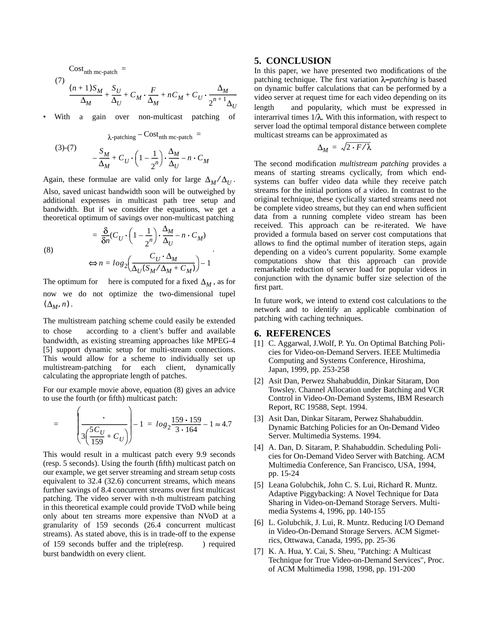$Cost_{nth \ mc-patch}$  =

$$
\frac{(7)}{\Delta_M} \frac{(n+1)S_M}{\Delta_M} + \frac{S_U}{\Delta_U} + C_M \cdot \frac{F}{\Delta_M} + nC_M + C_U \cdot \frac{\Delta_M}{2^{n+1} \Delta_U}
$$

With a gain over non-multicast patching of

(3)-(7) 
$$
\lambda_{\text{-patching}} - \frac{\text{Cost}_{\text{nth mc-patch}}}{\Delta_M} = -\frac{S_M}{\Delta_M} + C_U \cdot \left(1 - \frac{1}{2^n}\right) \cdot \frac{\Delta_M}{\Delta_U} - n \cdot C_M
$$

Again, these formulae are valid only for large  $\Delta_M / \Delta_U$ . Also, saved unicast bandwidth soon will be outweighed by additional expenses in multicast path tree setup and bandwidth. But if we consider the equations, we get a theoretical optimum of savings over non-multicast patching ⁄

 $\frac{\delta}{\delta n}$ <sup>(*C*</sup>*U* ·  $\left(1-\frac{1}{2}\right)$ 

(8)

$$
\Longleftrightarrow n = log_2 \left( \frac{C_U \cdot \Delta_M}{\Delta_U (S_M / \Delta_M + C_M)} \right) - 1
$$

 $-\frac{1}{2^n}\bigg) \cdot \frac{\Delta_M}{\Delta_U}$  $=\frac{6}{\delta n}(C_U \cdot \left(1-\frac{1}{2^n}\right) \cdot \frac{M}{\Delta_U} - n \cdot C_M)$ 

.

The optimum for here is computed for a fixed  $\Delta_M$ , as for now we do not optimize the two-dimensional tupel  $(\Delta_M, n)$ .

The multistream patching scheme could easily be extended to chose according to a client's buffer and available bandwidth, as existing streaming approaches like MPEG-4 [5] support dynamic setup for multi-stream connections. This would allow for a scheme to individually set up multistream-patching for each client, dynamically calculating the appropriate length of patches.

For our example movie above, equation (8) gives an advice to use the fourth (or fifth) multicast patch:

$$
= \left(\frac{1}{3\left(\frac{5C_U}{159} + C_U\right)}\right) - 1 = \log_2 \frac{159 \cdot 159}{3 \cdot 164} - 1 \approx 4.7
$$

This would result in a multicast patch every 9.9 seconds (resp. 5 seconds). Using the fourth (fifth) multicast patch on our example, we get server streaming and stream setup costs equivalent to 32.4 (32.6) concurrent streams, which means further savings of 8.4 concurrent streams over first multicast patching. The video server with n-th multistream patching in this theoretical example could provide TVoD while being only about ten streams more expensive than NVoD at a granularity of 159 seconds (26.4 concurrent multicast streams). As stated above, this is in trade-off to the expense of 159 seconds buffer and the triple(resp. ) required burst bandwidth on every client.

#### **5. CONCLUSION**

In this paper, we have presented two modifications of the patching technique. The first variation  $\lambda$ -patching is based on dynamic buffer calculations that can be performed by a video server at request time for each video depending on its length and popularity, which must be expressed in interarrival times  $1/\lambda$ . With this information, with respect to server load the optimal temporal distance between complete multicast streams can be approximated as

$$
\Delta_M = \sqrt{2 \cdot F / \lambda}
$$

The second modification *multistream patching* provides a means of starting streams cyclically, from which endsystems can buffer video data while they receive patch streams for the initial portions of a video. In contrast to the original technique, these cyclically started streams need not be complete video streams, but they can end when sufficient data from a running complete video stream has been received. This approach can be re-iterated. We have provided a formula based on server cost computations that allows to find the optimal number of iteration steps, again depending on a video's current popularity. Some example computations show that this approach can provide remarkable reduction of server load for popular videos in conjunction with the dynamic buffer size selection of the first part.

In future work, we intend to extend cost calculations to the network and to identify an applicable combination of patching with caching techniques.

#### **6. REFERENCES**

- [1] C. Aggarwal, J.Wolf, P. Yu. On Optimal Batching Policies for Video-on-Demand Servers. IEEE Multimedia Computing and Systems Conference, Hiroshima, Japan, 1999, pp. 253-258
- [2] Asit Dan, Perwez Shahabuddin, Dinkar Sitaram, Don Towsley. Channel Allocation under Batching and VCR Control in Video-On-Demand Systems, IBM Research Report, RC 19588, Sept. 1994.
- [3] Asit Dan, Dinkar Sitaram, Perwez Shahabuddin. Dynamic Batching Policies for an On-Demand Video Server. Multimedia Systems. 1994.
- [4] A. Dan, D. Sitaram, P. Shahabuddin. Scheduling Policies for On-Demand Video Server with Batching. ACM Multimedia Conference, San Francisco, USA, 1994, pp. 15-24
- [5] Leana Golubchik, John C. S. Lui, Richard R. Muntz. Adaptive Piggybacking: A Novel Technique for Data Sharing in Video-on-Demand Storage Servers. Multimedia Systems 4, 1996, pp. 140-155
- [6] L. Golubchik, J. Lui, R. Muntz. Reducing I/O Demand in Video-On-Demand Storage Servers. ACM Sigmetrics, Ottwawa, Canada, 1995, pp. 25-36
- [7] K. A. Hua, Y. Cai, S. Sheu, "Patching: A Multicast Technique for True Video-on-Demand Services", Proc. of ACM Multimedia 1998, 1998, pp. 191-200